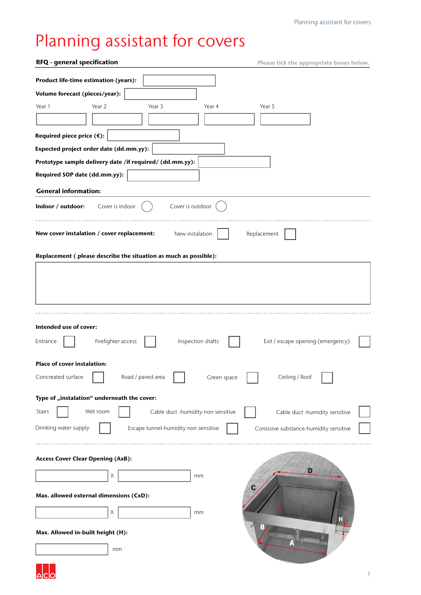## Planning assistant for covers

| RFQ - general specification                                                   | Please tick the appropriate boxes below. |
|-------------------------------------------------------------------------------|------------------------------------------|
| Product life-time estimation (years):                                         |                                          |
| Volume forecast (pieces/year):                                                |                                          |
| Year 2<br>Year 3<br>Year 1<br>Year 4                                          | Year 5                                   |
|                                                                               |                                          |
| Required piece price (€):                                                     |                                          |
| Expected project order date (dd.mm.yy):                                       |                                          |
| Prototype sample delivery date /if required/ (dd.mm.yy):                      |                                          |
| Required SOP date (dd.mm.yy):                                                 |                                          |
| <b>General information:</b>                                                   |                                          |
| Indoor / outdoor:<br>Cover is indoor<br>Cover is outdoor                      |                                          |
| New cover instalation / cover replacement:<br>New instalation                 | Replacement                              |
| Replacement (please describe the situation as much as possible):              |                                          |
|                                                                               |                                          |
|                                                                               |                                          |
| Intended use of cover:<br>Firefighter access<br>Inspection shafts<br>Entrance | Exit / escape opening (emergency)        |
| <b>Place of cover instalation:</b>                                            |                                          |
| Concreated surface<br>Road / paved area<br>Green space                        | Ceiling / Roof                           |
| Type of "instalation" underneath the cover:                                   |                                          |
| Cable duct -humidity non sensitive<br>Stairs<br>Wet room                      | Cable duct -humidity sensitive           |
| Drinking water supply<br>Escape tunnel-humidity non sensitive                 | Corossive substance-humidity sensitive   |
|                                                                               |                                          |
| <b>Access Cover Clear Opening (AxB):</b>                                      |                                          |
| Χ<br>mm                                                                       |                                          |
| Max. allowed external dimensions (CxD):                                       |                                          |
| X<br>mm                                                                       |                                          |
| Max. Allowed in-built height (H):                                             |                                          |
| mm                                                                            |                                          |
|                                                                               |                                          |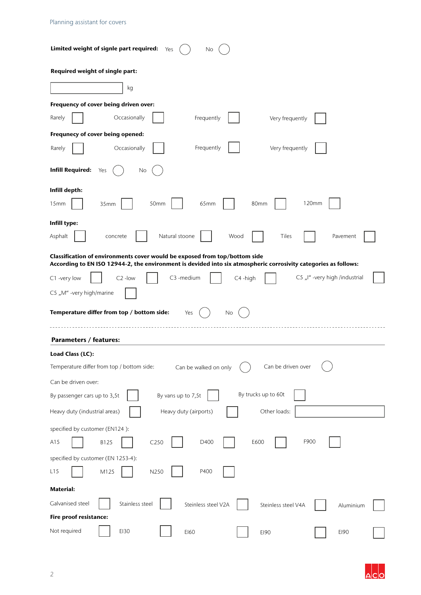| Limited weight of signle part required:<br>Yes<br>No.                                                                                                                                         |
|-----------------------------------------------------------------------------------------------------------------------------------------------------------------------------------------------|
| Required weight of single part:                                                                                                                                                               |
| kg                                                                                                                                                                                            |
| Frequency of cover being driven over:                                                                                                                                                         |
| Occasionally<br>Rarely<br>Frequently<br>Very frequently                                                                                                                                       |
| Frequnecy of cover being opened:                                                                                                                                                              |
| Frequently<br>Very frequently<br>Occasionally<br>Rarely                                                                                                                                       |
| <b>Infill Required:</b><br>Yes<br>No                                                                                                                                                          |
| Infill depth:                                                                                                                                                                                 |
| 120mm<br>80mm<br>15mm<br>35mm<br>50mm<br>65mm                                                                                                                                                 |
| Infill type:                                                                                                                                                                                  |
| Natural stoone<br>Tiles<br>Asphalt<br>concrete<br>Wood<br>Pavement                                                                                                                            |
| Classification of environments cover would be exposed from top/bottom side<br>According to EN ISO 12944-2, the environment is devided into six atmospheric corrosivity categories as follows: |
| C5 "I" -very high /industrial<br>C3 -medium<br>C4-high<br>C1 -very low<br>$C2$ -low                                                                                                           |
| C5 "M" -very high/marine                                                                                                                                                                      |
| Temperature differ from top / bottom side:<br>No<br>Yes                                                                                                                                       |
| <b>Parameters / features:</b>                                                                                                                                                                 |
| Load Class (LC):                                                                                                                                                                              |
| Can be driven over<br>Temperature differ from top / bottom side:<br>Can be walked on only                                                                                                     |
| Can be driven over:                                                                                                                                                                           |
| By trucks up to 60t<br>By vans up to 7,5t<br>By passenger cars up to 3,5t                                                                                                                     |
| Other loads:<br>Heavy duty (airports)<br>Heavy duty (industrial areas)                                                                                                                        |
| specified by customer (EN124):                                                                                                                                                                |
| F900<br>C250<br>E600<br>A15<br>B125<br>D400                                                                                                                                                   |
| specified by customer (EN 1253-4):                                                                                                                                                            |
| N250<br>P400<br>L15<br>M125                                                                                                                                                                   |
| <b>Material:</b>                                                                                                                                                                              |
| Stainless steel<br>Galvanised steel<br>Steinless steel V2A<br>Steinless steel V4A<br>Aluminium                                                                                                |
| Fire proof resistance:                                                                                                                                                                        |
| Not required<br>E130<br>E160<br>E190<br>E190                                                                                                                                                  |